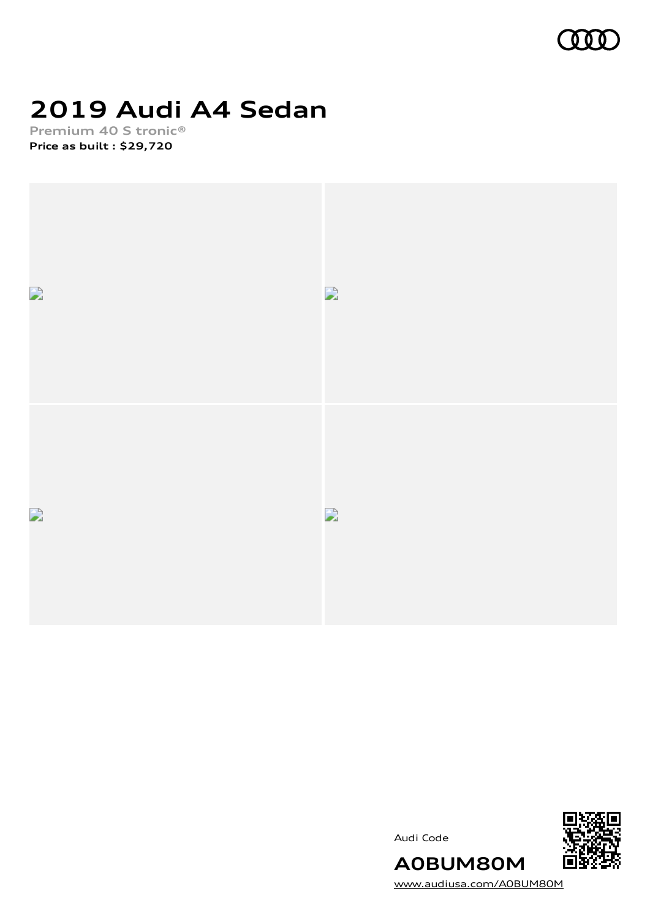

# **2019 Audi A4 Sedan**

**Premium 40 S tronic® Price as built [:](#page-10-0) \$29,720**







[www.audiusa.com/A0BUM80M](https://www.audiusa.com/A0BUM80M)

**A0BUM80M**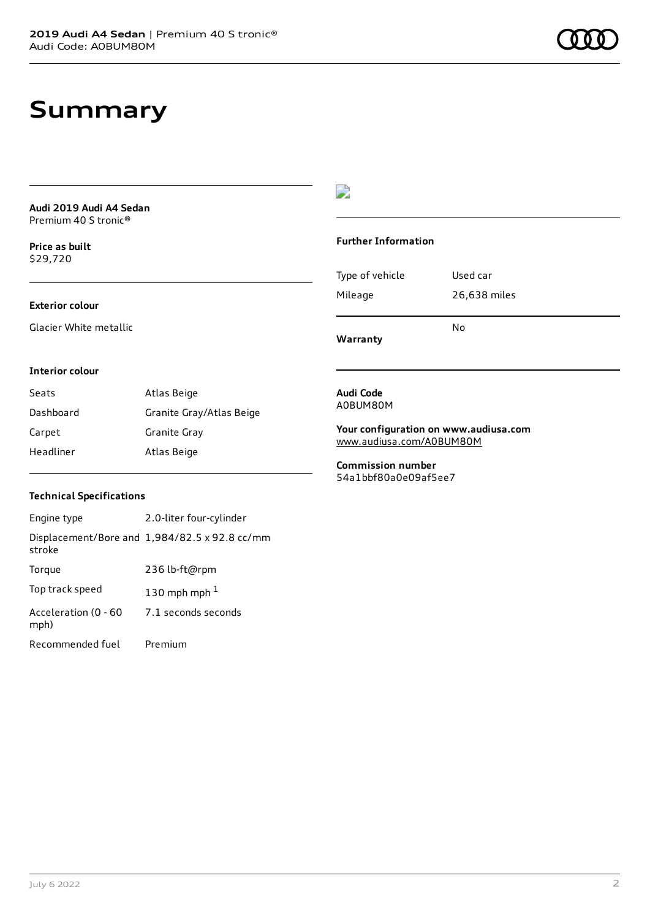### **Summary**

**Audi 2019 Audi A4 Sedan** Premium 40 S tronic®

**Price as buil[t](#page-10-0)** \$29,720

### **Exterior colour**

Glacier White metallic

### $\overline{\phantom{a}}$

#### **Further Information**

|                 | N٥           |
|-----------------|--------------|
| Mileage         | 26,638 miles |
| Type of vehicle | Used car     |

**Warranty**

#### **Interior colour**

| Seats     | Atlas Beige              |
|-----------|--------------------------|
| Dashboard | Granite Gray/Atlas Beige |
| Carpet    | Granite Gray             |
| Headliner | Atlas Beige              |

#### **Audi Code** A0BUM80M

**Your configuration on www.audiusa.com** [www.audiusa.com/A0BUM80M](https://www.audiusa.com/A0BUM80M)

**Commission number** 54a1bbf80a0e09af5ee7

### **Technical Specifications**

| Engine type                  | 2.0-liter four-cylinder                       |
|------------------------------|-----------------------------------------------|
| stroke                       | Displacement/Bore and 1,984/82.5 x 92.8 cc/mm |
| Torque                       | 236 lb-ft@rpm                                 |
| Top track speed              | 130 mph mph $1$                               |
| Acceleration (0 - 60<br>mph) | 7.1 seconds seconds                           |
| Recommended fuel             | Premium                                       |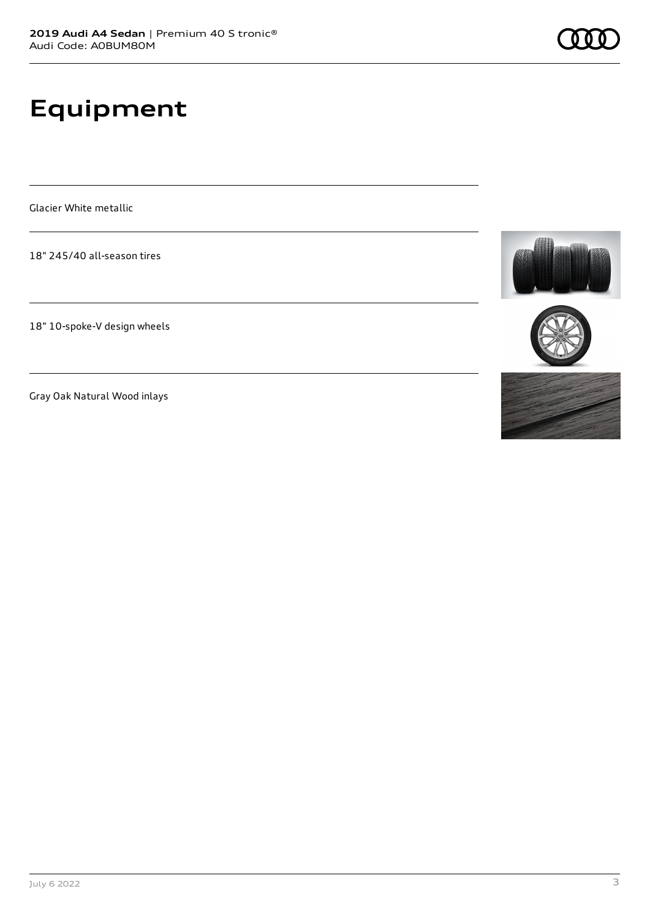# **Equipment**

Glacier White metallic

18" 245/40 all-season tires

18" 10-spoke-V design wheels

Gray Oak Natural Wood inlays





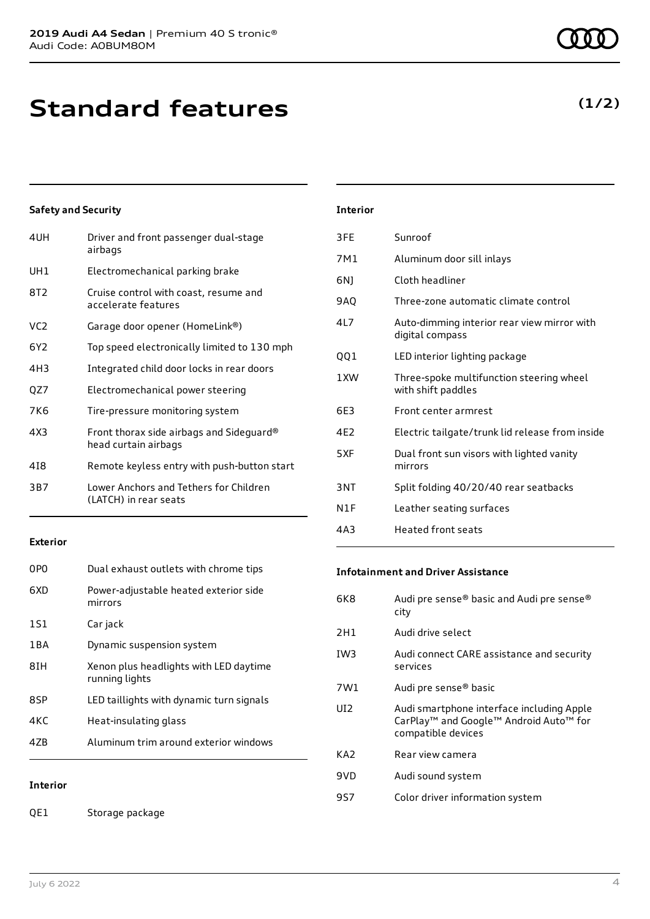**Standard features**

### **Safety and Security**

| 4UH | Driver and front passenger dual-stage<br>airbags                 |
|-----|------------------------------------------------------------------|
| UH1 | Electromechanical parking brake                                  |
| 8T2 | Cruise control with coast, resume and<br>accelerate features     |
| VC2 | Garage door opener (HomeLink®)                                   |
| 6Y2 | Top speed electronically limited to 130 mph                      |
| 4H3 | Integrated child door locks in rear doors                        |
| QZ7 | Electromechanical power steering                                 |
| 7K6 | Tire-pressure monitoring system                                  |
| 4X3 | Front thorax side airbags and Sideguard®<br>head curtain airbags |
| 418 | Remote keyless entry with push-button start                      |
| 3B7 | Lower Anchors and Tethers for Children<br>(LATCH) in rear seats  |
|     |                                                                  |

#### **Exterior**

| 0P <sub>0</sub> | Dual exhaust outlets with chrome tips                    |
|-----------------|----------------------------------------------------------|
| 6XD             | Power-adjustable heated exterior side<br>mirrors         |
| 1S1             | Car jack                                                 |
| 1 B A           | Dynamic suspension system                                |
| 8IH             | Xenon plus headlights with LED daytime<br>running lights |
| 8SP             | LED taillights with dynamic turn signals                 |
| 4KC             | Heat-insulating glass                                    |
| 47B             | Aluminum trim around exterior windows                    |
|                 |                                                          |

### **Interior**

QE1 Storage package

### **Interior**

| 3FE  | Sunroof                                                        |
|------|----------------------------------------------------------------|
| 7M1  | Aluminum door sill inlays                                      |
| 6N)  | Cloth headliner                                                |
| 9AQ  | Three-zone automatic climate control                           |
| 417  | Auto-dimming interior rear view mirror with<br>digital compass |
| QQ1  | LED interior lighting package                                  |
| 1 XW | Three-spoke multifunction steering wheel<br>with shift paddles |
| 6E3  | Front center armrest                                           |
| 4E2  | Electric tailgate/trunk lid release from inside                |
| 5XF  | Dual front sun visors with lighted vanity<br>mirrors           |
| 3NT  | Split folding 40/20/40 rear seatbacks                          |
| N1F  | Leather seating surfaces                                       |
| 4A3  | <b>Heated front seats</b>                                      |

#### **Infotainment and Driver Assistance**

| 6K8             | Audi pre sense® basic and Audi pre sense®<br>city                                               |
|-----------------|-------------------------------------------------------------------------------------------------|
| 2H1             | Audi drive select                                                                               |
| IW <sub>3</sub> | Audi connect CARE assistance and security<br>services                                           |
| 7W1             | Audi pre sense <sup>®</sup> basic                                                               |
| UD.             | Audi smartphone interface including Apple<br>CarPlay <sup>™</sup> and Google™ Android Auto™ for |
|                 | compatible devices                                                                              |
| KA2             | Rear view camera                                                                                |
| 9VD             | Audi sound system                                                                               |

### **(1/2)**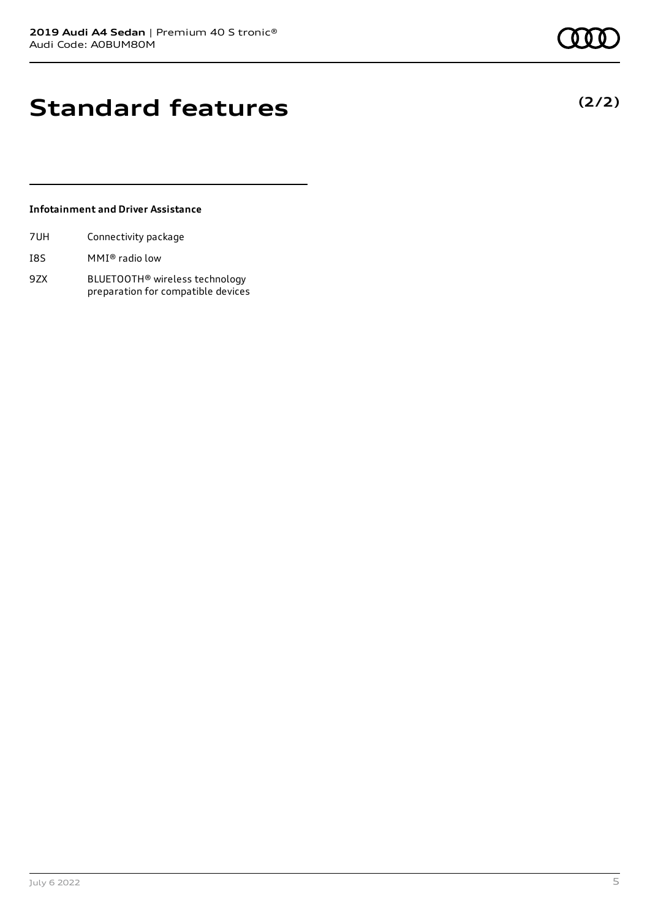## **Standard features**

### **Infotainment and Driver Assistance**

| 7UH | Connectivity package |  |
|-----|----------------------|--|
|     |                      |  |

- I8S MMI® radio low
- 9ZX BLUETOOTH® wireless technology preparation for compatible devices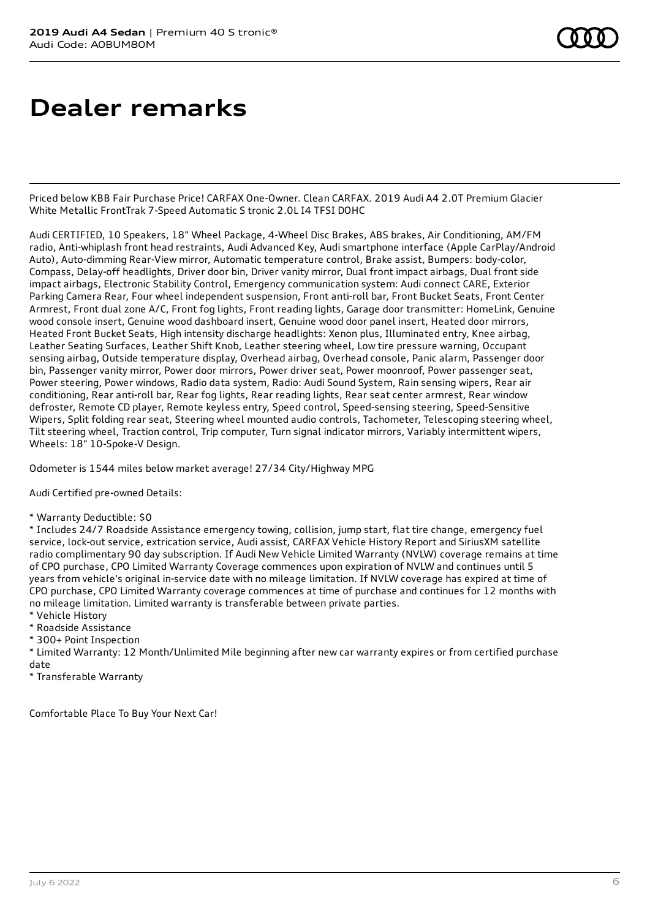### **Dealer remarks**

Priced below KBB Fair Purchase Price! CARFAX One-Owner. Clean CARFAX. 2019 Audi A4 2.0T Premium Glacier White Metallic FrontTrak 7-Speed Automatic S tronic 2.0L I4 TFSI DOHC

Audi CERTIFIED, 10 Speakers, 18" Wheel Package, 4-Wheel Disc Brakes, ABS brakes, Air Conditioning, AM/FM radio, Anti-whiplash front head restraints, Audi Advanced Key, Audi smartphone interface (Apple CarPlay/Android Auto), Auto-dimming Rear-View mirror, Automatic temperature control, Brake assist, Bumpers: body-color, Compass, Delay-off headlights, Driver door bin, Driver vanity mirror, Dual front impact airbags, Dual front side impact airbags, Electronic Stability Control, Emergency communication system: Audi connect CARE, Exterior Parking Camera Rear, Four wheel independent suspension, Front anti-roll bar, Front Bucket Seats, Front Center Armrest, Front dual zone A/C, Front fog lights, Front reading lights, Garage door transmitter: HomeLink, Genuine wood console insert, Genuine wood dashboard insert, Genuine wood door panel insert, Heated door mirrors, Heated Front Bucket Seats, High intensity discharge headlights: Xenon plus, Illuminated entry, Knee airbag, Leather Seating Surfaces, Leather Shift Knob, Leather steering wheel, Low tire pressure warning, Occupant sensing airbag, Outside temperature display, Overhead airbag, Overhead console, Panic alarm, Passenger door bin, Passenger vanity mirror, Power door mirrors, Power driver seat, Power moonroof, Power passenger seat, Power steering, Power windows, Radio data system, Radio: Audi Sound System, Rain sensing wipers, Rear air conditioning, Rear anti-roll bar, Rear fog lights, Rear reading lights, Rear seat center armrest, Rear window defroster, Remote CD player, Remote keyless entry, Speed control, Speed-sensing steering, Speed-Sensitive Wipers, Split folding rear seat, Steering wheel mounted audio controls, Tachometer, Telescoping steering wheel, Tilt steering wheel, Traction control, Trip computer, Turn signal indicator mirrors, Variably intermittent wipers, Wheels: 18" 10-Spoke-V Design.

Odometer is 1544 miles below market average! 27/34 City/Highway MPG

Audi Certified pre-owned Details:

\* Warranty Deductible: \$0

\* Includes 24/7 Roadside Assistance emergency towing, collision, jump start, flat tire change, emergency fuel service, lock-out service, extrication service, Audi assist, CARFAX Vehicle History Report and SiriusXM satellite radio complimentary 90 day subscription. If Audi New Vehicle Limited Warranty (NVLW) coverage remains at time of CPO purchase, CPO Limited Warranty Coverage commences upon expiration of NVLW and continues until 5 years from vehicle's original in-service date with no mileage limitation. If NVLW coverage has expired at time of CPO purchase, CPO Limited Warranty coverage commences at time of purchase and continues for 12 months with no mileage limitation. Limited warranty is transferable between private parties.

- \* Vehicle History
- \* Roadside Assistance
- \* 300+ Point Inspection

\* Limited Warranty: 12 Month/Unlimited Mile beginning after new car warranty expires or from certified purchase date

\* Transferable Warranty

Comfortable Place To Buy Your Next Car!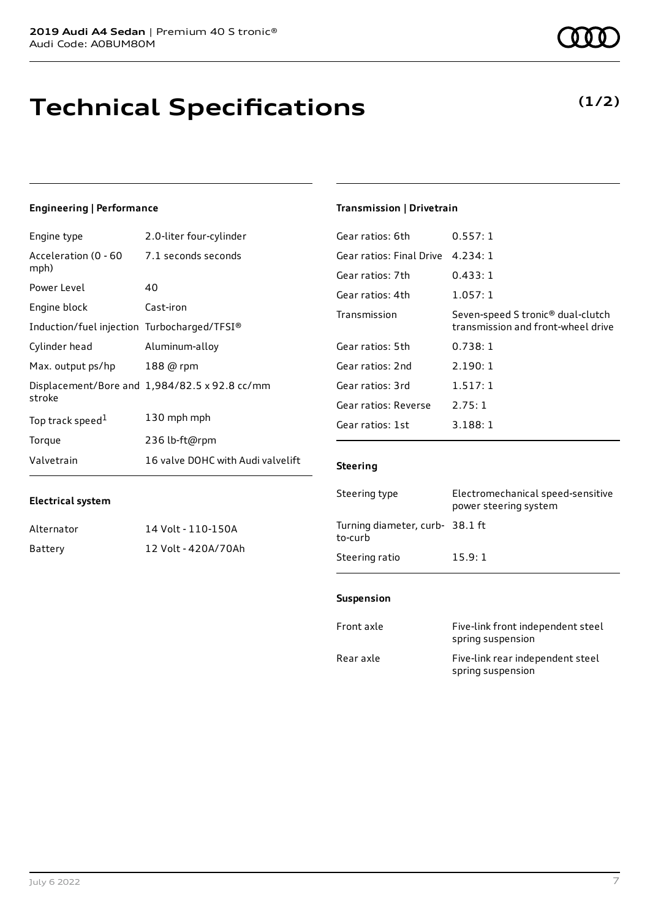# **Technical Specifications**

### **Engineering | Performance**

**Electrical system**

| Engine type                                 | 2.0-liter four-cylinder                       |
|---------------------------------------------|-----------------------------------------------|
| Acceleration (0 - 60<br>mph)                | 7.1 seconds seconds                           |
| Power Level                                 | 40                                            |
| Engine block                                | Cast-iron                                     |
| Induction/fuel injection Turbocharged/TFSI® |                                               |
| Cylinder head                               | Aluminum-alloy                                |
| Max. output ps/hp                           | 188 @ rpm                                     |
| stroke                                      | Displacement/Bore and 1,984/82.5 x 92.8 cc/mm |
| Top track speed <sup>1</sup>                | 130 mph mph                                   |
| Torque                                      | 236 lb-ft@rpm                                 |
| Valvetrain                                  | 16 valve DOHC with Audi valvelift             |

Alternator 14 Volt - 110-150A Battery 12 Volt - 420A/70Ah

### **Transmission | Drivetrain**

| Gear ratios: 6th                  | 0.557:1                                                                             |
|-----------------------------------|-------------------------------------------------------------------------------------|
| Gear ratios: Final Drive 4.234: 1 |                                                                                     |
| Gear ratios: 7th                  | 0.433:1                                                                             |
| Gear ratios: 4th                  | 1.057:1                                                                             |
| Transmission                      | Seven-speed S tronic <sup>®</sup> dual-clutch<br>transmission and front-wheel drive |
| Gear ratios: 5th                  | 0.738:1                                                                             |
| Gear ratios: 2nd                  | 2.190:1                                                                             |
| Gear ratios: 3rd                  | 1.517:1                                                                             |
| Gear ratios: Reverse              | 2.75:1                                                                              |
| Gear ratios: 1st                  | 3.188:1                                                                             |
|                                   |                                                                                     |

#### **Steering**

| Steering type                             | Electromechanical speed-sensitive<br>power steering system |
|-------------------------------------------|------------------------------------------------------------|
| Turning diameter, curb-38.1 ft<br>to-curb |                                                            |
| Steering ratio                            | 15.9:1                                                     |

### **Suspension**

| Front axle | Five-link front independent steel<br>spring suspension |
|------------|--------------------------------------------------------|
| Rear axle  | Five-link rear independent steel<br>spring suspension  |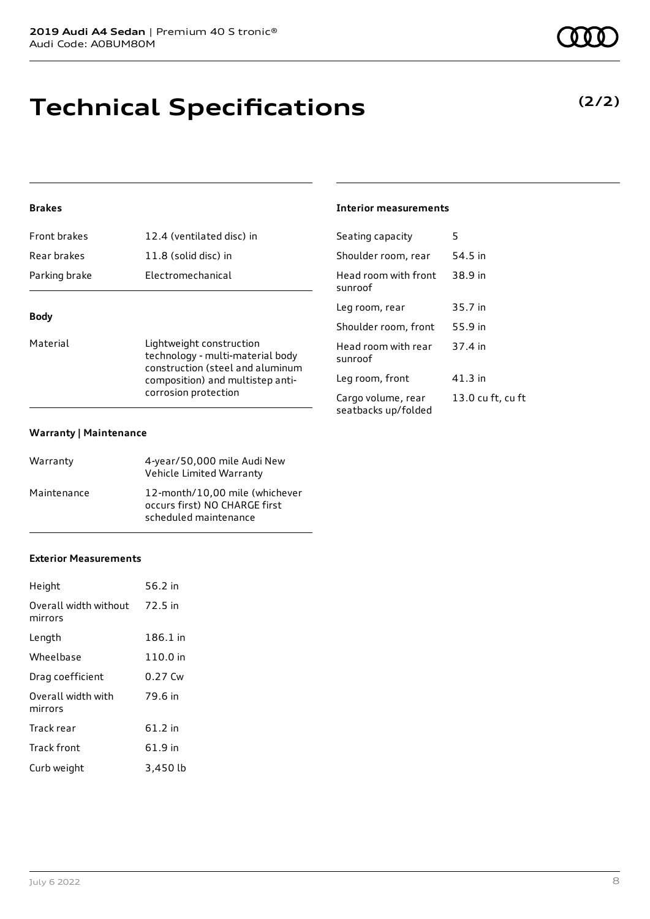### **Technical Specifications**

### **Brakes**

| Front brakes  | 12.4 (ventilated disc) in |
|---------------|---------------------------|
| Rear brakes   | 11.8 (solid disc) in      |
| Parking brake | Electromechanical         |
|               |                           |

### **Body**

Material **Material** Lightweight construction technology - multi-material body construction (steel and aluminum composition) and multistep anticorrosion protection

#### **Warranty | Maintenance**

| Warranty    | 4-year/50,000 mile Audi New<br>Vehicle Limited Warranty                                  |
|-------------|------------------------------------------------------------------------------------------|
| Maintenance | 12-month/10,00 mile (whichever<br>occurs first) NO CHARGE first<br>scheduled maintenance |

### **Exterior Measurements**

| Height                           | 56.2 in  |
|----------------------------------|----------|
| Overall width without<br>mirrors | 72.5 in  |
| Length                           | 186.1 in |
| Wheelbase                        | 110.0 in |
| Drag coefficient                 | 0.27 Cw  |
| Overall width with<br>mirrors    | 79.6 in  |
| Track rear                       | 61.2 in  |
| Track front                      | 61.9 in  |
| Curb weight                      | 3,450 lb |

### **Interior measurements**

| Seating capacity                          | 5                 |
|-------------------------------------------|-------------------|
| Shoulder room, rear                       | 54.5 in           |
| Head room with front<br>sunroof           | 38.9 in           |
| Leg room, rear                            | 35.7 in           |
| Shoulder room, front                      | 55.9 in           |
| Head room with rear<br>sunroof            | 37.4 in           |
| Leg room, front                           | 41.3 in           |
| Cargo volume, rear<br>seatbacks up/folded | 13.0 cu ft, cu ft |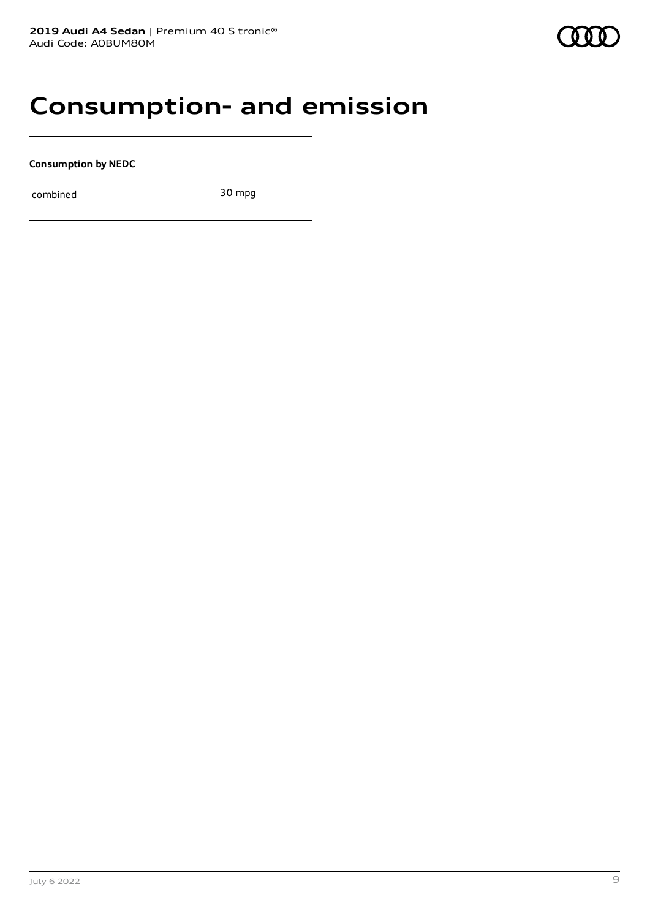### **Consumption- and emission**

**Consumption by NEDC**

combined 30 mpg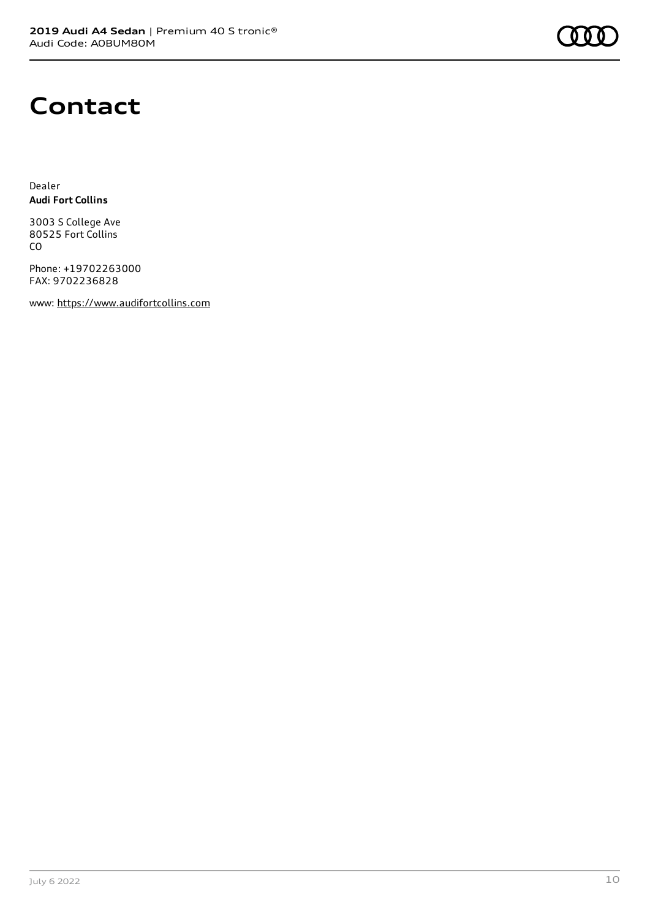

### **Contact**

Dealer **Audi Fort Collins**

3003 S College Ave 80525 Fort Collins CO

Phone: +19702263000 FAX: 9702236828

www: [https://www.audifortcollins.com](https://www.audifortcollins.com/)